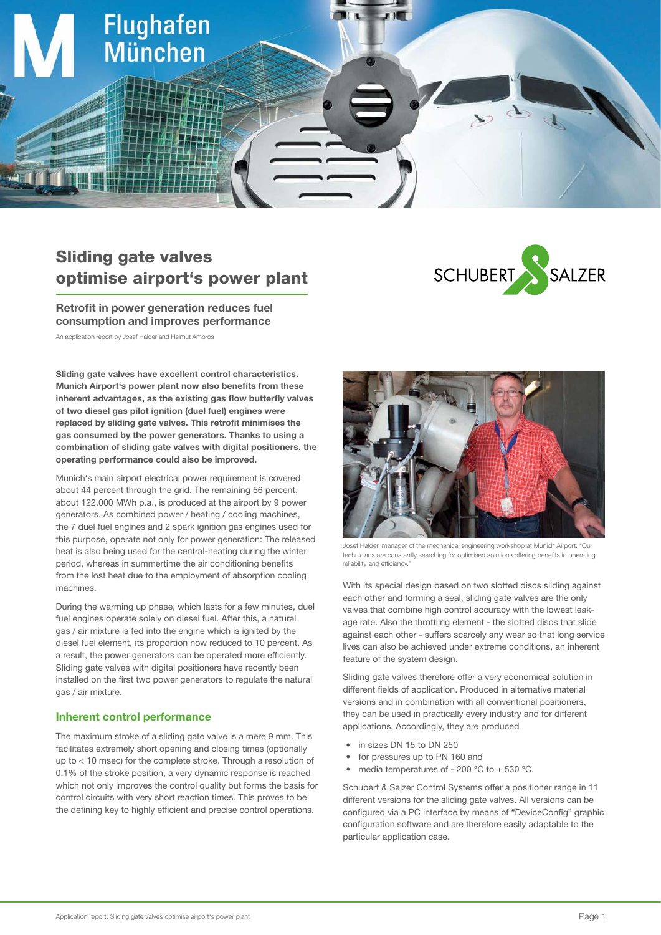

# Sliding gate valves optimise airport's power plant

Retrofit in power generation reduces fuel consumption and improves performance

An application report by Josef Halder and Helmut Ambros

Sliding gate valves have excellent control characteristics. Munich Airport's power plant now also benefits from these inherent advantages, as the existing gas flow butterfly valves of two diesel gas pilot ignition (duel fuel) engines were replaced by sliding gate valves. This retrofit minimises the gas consumed by the power generators. Thanks to using a combination of sliding gate valves with digital positioners, the operating performance could also be improved.

Munich's main airport electrical power requirement is covered about 44 percent through the grid. The remaining 56 percent, about 122,000 MWh p.a., is produced at the airport by 9 power generators. As combined power / heating / cooling machines, the 7 duel fuel engines and 2 spark ignition gas engines used for this purpose, operate not only for power generation: The released heat is also being used for the central-heating during the winter period, whereas in summertime the air conditioning benefits from the lost heat due to the employment of absorption cooling machines.

During the warming up phase, which lasts for a few minutes, duel fuel engines operate solely on diesel fuel. After this, a natural gas / air mixture is fed into the engine which is ignited by the diesel fuel element, its proportion now reduced to 10 percent. As a result, the power generators can be operated more efficiently. Sliding gate valves with digital positioners have recently been installed on the first two power generators to regulate the natural gas / air mixture.

### Inherent control performance

The maximum stroke of a sliding gate valve is a mere 9 mm. This facilitates extremely short opening and closing times (optionally up to < 10 msec) for the complete stroke. Through a resolution of 0.1% of the stroke position, a very dynamic response is reached which not only improves the control quality but forms the basis for control circuits with very short reaction times. This proves to be the defining key to highly efficient and precise control operations.





Josef Halder, manager of the mechanical engineering workshop at Munich Airport: "Our technicians are constantly searching for optimised solutions offering benefits in operating reliability and efficiency."

With its special design based on two slotted discs sliding against each other and forming a seal, sliding gate valves are the only valves that combine high control accuracy with the lowest leakage rate. Also the throttling element - the slotted discs that slide against each other - suffers scarcely any wear so that long service lives can also be achieved under extreme conditions, an inherent feature of the system design.

Sliding gate valves therefore offer a very economical solution in different fields of application. Produced in alternative material versions and in combination with all conventional positioners, they can be used in practically every industry and for different applications. Accordingly, they are produced

- in sizes DN 15 to DN 250
- for pressures up to PN 160 and
- media temperatures of 200  $^{\circ}$ C to + 530  $^{\circ}$ C.

Schubert & Salzer Control Systems offer a positioner range in 11 different versions for the sliding gate valves. All versions can be configured via a PC interface by means of "DeviceConfig" graphic configuration software and are therefore easily adaptable to the particular application case.